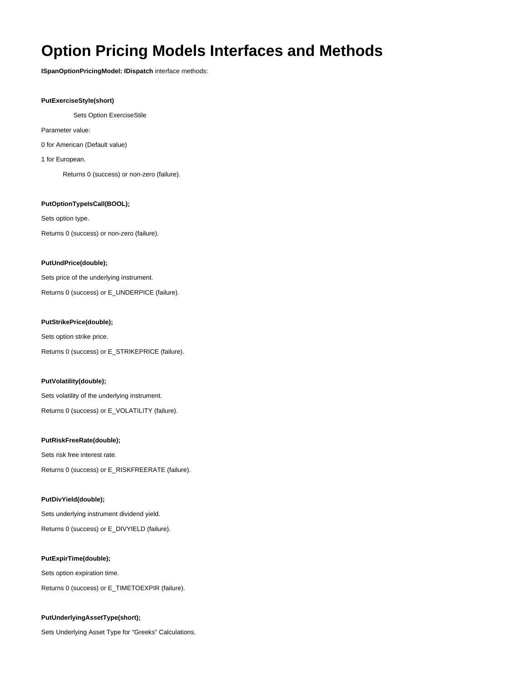# **Option Pricing Models Interfaces and Methods**

**ISpanOptionPricingModel: IDispatch** interface methods:

## **PutExerciseStyle(short)**

Sets Option ExerciseStile

Parameter value:

0 for American (Default value)

1 for European.

Returns 0 (success) or non-zero (failure).

# **PutOptionTypeIsCall(BOOL);**

Sets option type.

Returns 0 (success) or non-zero (failure).

#### **PutUndPrice(double);**

Sets price of the underlying instrument.

Returns 0 (success) or E\_UNDERPICE (failure).

## **PutStrikePrice(double);**

Sets option strike price. Returns 0 (success) or E\_STRIKEPRICE (failure).

## **PutVolatility(double);**

Sets volatility of the underlying instrument. Returns 0 (success) or E\_VOLATILITY (failure).

## **PutRiskFreeRate(double);**

Sets risk free interest rate. Returns 0 (success) or E\_RISKFREERATE (failure).

#### **PutDivYield(double);**

Sets underlying instrument dividend yield. Returns 0 (success) or E\_DIVYIELD (failure).

## **PutExpirTime(double);**

Sets option expiration time.

Returns 0 (success) or E\_TIMETOEXPIR (failure).

# **PutUnderlyingAssetType(short);**

Sets Underlying Asset Type for "Greeks" Calculations.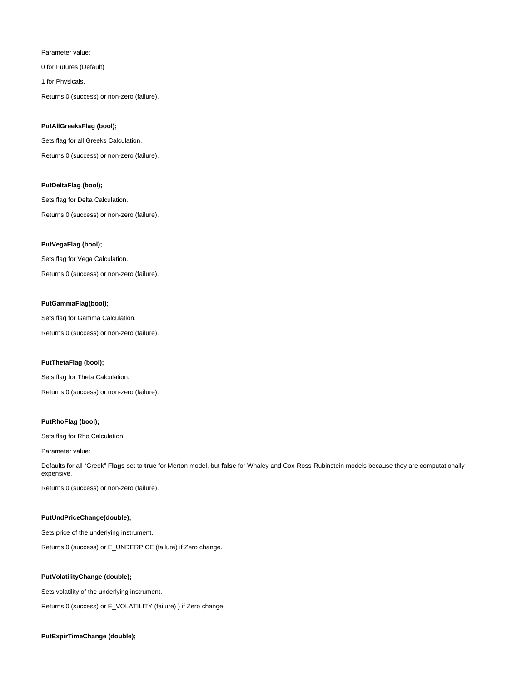## Parameter value:

0 for Futures (Default)

1 for Physicals.

Returns 0 (success) or non-zero (failure).

## **PutAllGreeksFlag (bool);**

Sets flag for all Greeks Calculation. Returns 0 (success) or non-zero (failure).

# **PutDeltaFlag (bool);**

Sets flag for Delta Calculation.

Returns 0 (success) or non-zero (failure).

## **PutVegaFlag (bool);**

Sets flag for Vega Calculation. Returns 0 (success) or non-zero (failure).

# **PutGammaFlag(bool);**

Sets flag for Gamma Calculation.

Returns 0 (success) or non-zero (failure).

#### **PutThetaFlag (bool);**

Sets flag for Theta Calculation. Returns 0 (success) or non-zero (failure).

# **PutRhoFlag (bool);**

Sets flag for Rho Calculation.

Parameter value:

Defaults for all "Greek" **Flags** set to **true** for Merton model, but **false** for Whaley and Cox-Ross-Rubinstein models because they are computationally expensive.

Returns 0 (success) or non-zero (failure).

#### **PutUndPriceChange(double);**

Sets price of the underlying instrument.

Returns 0 (success) or E\_UNDERPICE (failure) if Zero change.

# **PutVolatilityChange (double);**

Sets volatility of the underlying instrument.

Returns 0 (success) or E\_VOLATILITY (failure) ) if Zero change.

#### **PutExpirTimeChange (double);**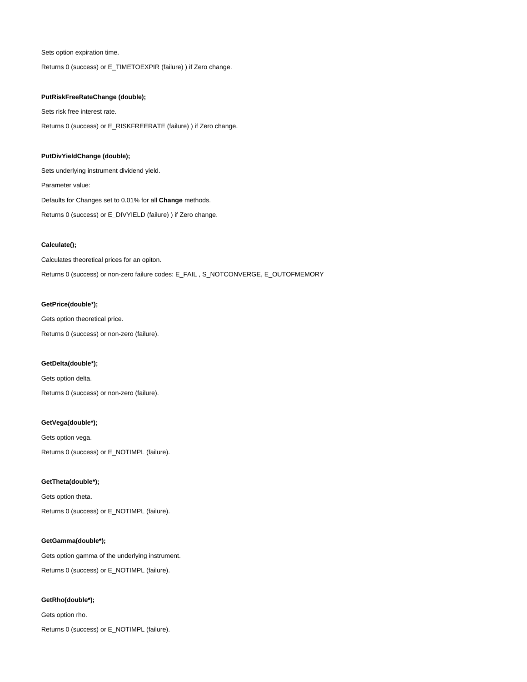Sets option expiration time.

Returns 0 (success) or E\_TIMETOEXPIR (failure) ) if Zero change.

# **PutRiskFreeRateChange (double);**

Sets risk free interest rate. Returns 0 (success) or E\_RISKFREERATE (failure) ) if Zero change.

# **PutDivYieldChange (double);**

Sets underlying instrument dividend yield.

Parameter value:

Defaults for Changes set to 0.01% for all **Change** methods.

Returns 0 (success) or E\_DIVYIELD (failure) ) if Zero change.

#### **Calculate();**

Calculates theoretical prices for an opiton.

Returns 0 (success) or non-zero failure codes: E\_FAIL , S\_NOTCONVERGE, E\_OUTOFMEMORY

#### **GetPrice(double\*);**

Gets option theoretical price.

Returns 0 (success) or non-zero (failure).

# **GetDelta(double\*);**

Gets option delta. Returns 0 (success) or non-zero (failure).

#### **GetVega(double\*);**

Gets option vega. Returns 0 (success) or E\_NOTIMPL (failure).

# **GetTheta(double\*);**

Gets option theta.

Returns 0 (success) or E\_NOTIMPL (failure).

## **GetGamma(double\*);**

Gets option gamma of the underlying instrument. Returns 0 (success) or E\_NOTIMPL (failure).

# **GetRho(double\*);**

Gets option rho.

Returns 0 (success) or E\_NOTIMPL (failure).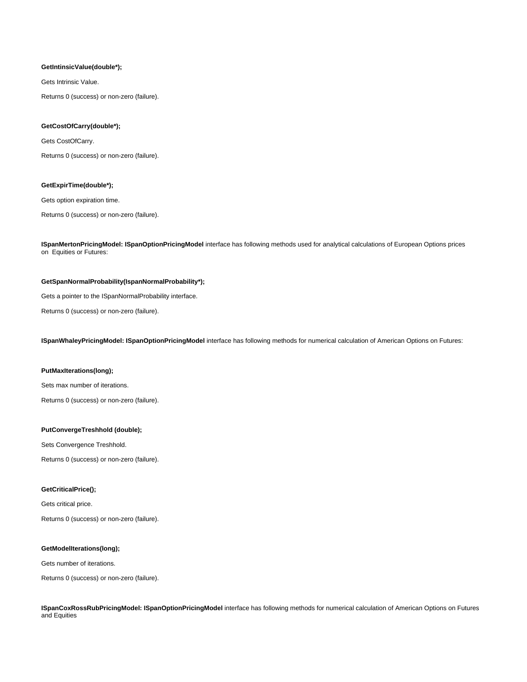#### **GetIntinsicValue(double\*);**

Gets Intrinsic Value.

Returns 0 (success) or non-zero (failure).

# **GetCostOfCarry(double\*);**

Gets CostOfCarry.

Returns 0 (success) or non-zero (failure).

#### **GetExpirTime(double\*);**

Gets option expiration time.

Returns 0 (success) or non-zero (failure).

**ISpanMertonPricingModel: ISpanOptionPricingModel** interface has following methods used for analytical calculations of European Options prices on Equities or Futures:

#### **GetSpanNormalProbability(IspanNormalProbability\*);**

Gets a pointer to the ISpanNormalProbability interface.

Returns 0 (success) or non-zero (failure).

**ISpanWhaleyPricingModel: ISpanOptionPricingModel** interface has following methods for numerical calculation of American Options on Futures:

# **PutMaxIterations(long);**

Sets max number of iterations.

Returns 0 (success) or non-zero (failure).

#### **PutConvergeTreshhold (double);**

Sets Convergence Treshhold.

Returns 0 (success) or non-zero (failure).

# **GetCriticalPrice();**

Gets critical price.

Returns 0 (success) or non-zero (failure).

# **GetModelIterations(long);**

Gets number of iterations.

Returns 0 (success) or non-zero (failure).

**ISpanCoxRossRubPricingModel: ISpanOptionPricingModel** interface has following methods for numerical calculation of American Options on Futures and Equities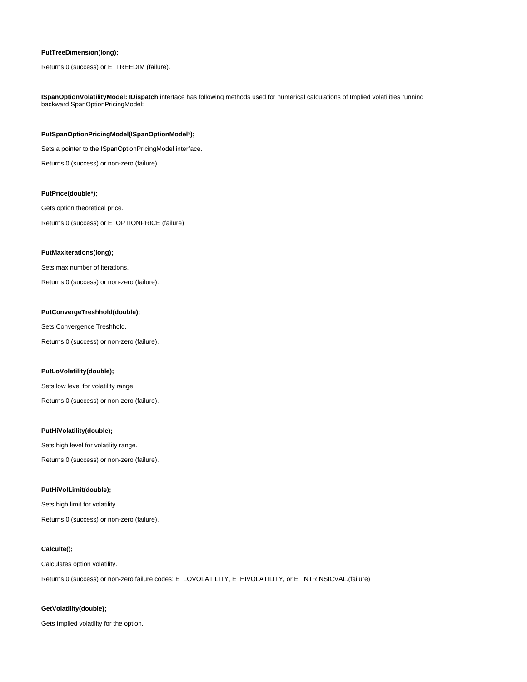# **PutTreeDimension(long);**

Returns 0 (success) or E\_TREEDIM (failure).

**ISpanOptionVolatilityModel: IDispatch** interface has following methods used for numerical calculations of Implied volatilities running backward SpanOptionPricingModel:

#### **PutSpanOptionPricingModel(ISpanOptionModel\*);**

Sets a pointer to the ISpanOptionPricingModel interface.

Returns 0 (success) or non-zero (failure).

## **PutPrice(double\*);**

Gets option theoretical price.

Returns 0 (success) or E\_OPTIONPRICE (failure)

#### **PutMaxIterations(long);**

Sets max number of iterations.

Returns 0 (success) or non-zero (failure).

# **PutConvergeTreshhold(double);**

Sets Convergence Treshhold.

Returns 0 (success) or non-zero (failure).

# **PutLoVolatility(double);**

Sets low level for volatility range.

Returns 0 (success) or non-zero (failure).

## **PutHiVolatility(double);**

Sets high level for volatility range.

Returns 0 (success) or non-zero (failure).

## **PutHiVolLimit(double);**

Sets high limit for volatility.

Returns 0 (success) or non-zero (failure).

## **Calculte();**

#### Calculates option volatility.

Returns 0 (success) or non-zero failure codes: E\_LOVOLATILITY, E\_HIVOLATILITY, or E\_INTRINSICVAL.(failure)

#### **GetVolatility(double);**

Gets Implied volatility for the option.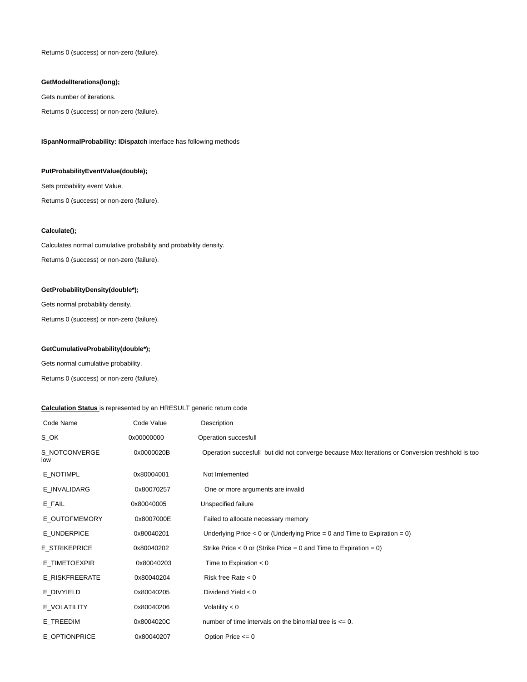Returns 0 (success) or non-zero (failure).

# **GetModelIterations(long);**

Gets number of iterations.

Returns 0 (success) or non-zero (failure).

# **ISpanNormalProbability: IDispatch** interface has following methods

## **PutProbabilityEventValue(double);**

Sets probability event Value.

Returns 0 (success) or non-zero (failure).

# **Calculate();**

Calculates normal cumulative probability and probability density. Returns 0 (success) or non-zero (failure).

# **GetProbabilityDensity(double\*);**

Gets normal probability density.

Returns 0 (success) or non-zero (failure).

# **GetCumulativeProbability(double\*);**

Gets normal cumulative probability.

Returns 0 (success) or non-zero (failure).

# **Calculation Status** is represented by an HRESULT generic return code

| Code Name            | Code Value | Description                                                                                     |
|----------------------|------------|-------------------------------------------------------------------------------------------------|
| S_OK                 | 0x00000000 | Operation succesfull                                                                            |
| S NOTCONVERGE<br>low | 0x0000020B | Operation succesfull but did not converge because Max Iterations or Conversion treshhold is too |
| E_NOTIMPL            | 0x80004001 | Not Imlemented                                                                                  |
| E_INVALIDARG         | 0x80070257 | One or more arguments are invalid                                                               |
| E_FAIL               | 0x80040005 | Unspecified failure                                                                             |
| E OUTOFMEMORY        | 0x8007000E | Failed to allocate necessary memory                                                             |
| E_UNDERPICE          | 0x80040201 | Underlying Price $< 0$ or (Underlying Price $= 0$ and Time to Expiration $= 0$ )                |
| <b>E STRIKEPRICE</b> | 0x80040202 | Strike Price $< 0$ or (Strike Price = 0 and Time to Expiration = 0)                             |
| E_TIMETOEXPIR        | 0x80040203 | Time to Expiration $< 0$                                                                        |
| E RISKFREERATE       | 0x80040204 | Risk free Rate $< 0$                                                                            |
| E DIVYIELD           | 0x80040205 | Dividend Yield $< 0$                                                                            |
| E VOLATILITY         | 0x80040206 | Volatility $< 0$                                                                                |
| E TREEDIM            | 0x8004020C | number of time intervals on the binomial tree is $\leq 0$ .                                     |
| E OPTIONPRICE        | 0x80040207 | Option Price $\leq 0$                                                                           |